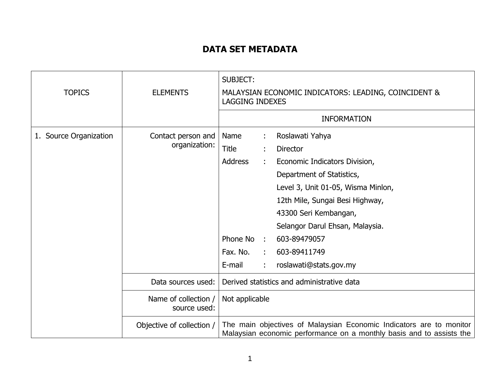## **DATA SET METADATA**

| <b>TOPICS</b>          | <b>ELEMENTS</b>                      | <b>SUBJECT:</b><br>MALAYSIAN ECONOMIC INDICATORS: LEADING, COINCIDENT &<br><b>LAGGING INDEXES</b>                                                                                                                                                                                                                                                                                               |
|------------------------|--------------------------------------|-------------------------------------------------------------------------------------------------------------------------------------------------------------------------------------------------------------------------------------------------------------------------------------------------------------------------------------------------------------------------------------------------|
|                        |                                      | <b>INFORMATION</b>                                                                                                                                                                                                                                                                                                                                                                              |
| 1. Source Organization | Contact person and<br>organization:  | Roslawati Yahya<br>Name<br><b>Title</b><br><b>Director</b><br><b>Address</b><br>Economic Indicators Division,<br>÷<br>Department of Statistics,<br>Level 3, Unit 01-05, Wisma Minlon,<br>12th Mile, Sungai Besi Highway,<br>43300 Seri Kembangan,<br>Selangor Darul Ehsan, Malaysia.<br>Phone No<br>603-89479057<br>$\sim$<br>Fax. No.<br>603-89411749<br>÷<br>E-mail<br>roslawati@stats.gov.my |
|                        | Data sources used:                   | Derived statistics and administrative data                                                                                                                                                                                                                                                                                                                                                      |
|                        | Name of collection /<br>source used: | Not applicable                                                                                                                                                                                                                                                                                                                                                                                  |
|                        | Objective of collection /            | The main objectives of Malaysian Economic Indicators are to monitor<br>Malaysian economic performance on a monthly basis and to assists the                                                                                                                                                                                                                                                     |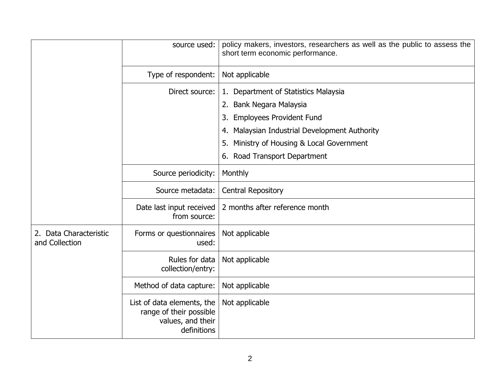|                                          | source used:                                                                              | policy makers, investors, researchers as well as the public to assess the<br>short term economic performance. |
|------------------------------------------|-------------------------------------------------------------------------------------------|---------------------------------------------------------------------------------------------------------------|
|                                          | Type of respondent:                                                                       | Not applicable                                                                                                |
|                                          | Direct source:                                                                            | 1. Department of Statistics Malaysia                                                                          |
|                                          |                                                                                           | 2. Bank Negara Malaysia                                                                                       |
|                                          |                                                                                           | <b>Employees Provident Fund</b><br>3.                                                                         |
|                                          |                                                                                           | 4. Malaysian Industrial Development Authority                                                                 |
|                                          |                                                                                           | Ministry of Housing & Local Government<br>5.                                                                  |
|                                          |                                                                                           | Road Transport Department<br>6.                                                                               |
|                                          | Source periodicity:                                                                       | Monthly                                                                                                       |
|                                          | Source metadata:                                                                          | <b>Central Repository</b>                                                                                     |
|                                          | Date last input received<br>from source:                                                  | 2 months after reference month                                                                                |
| 2. Data Characteristic<br>and Collection | Forms or questionnaires<br>used:                                                          | Not applicable                                                                                                |
|                                          | Rules for data<br>collection/entry:                                                       | Not applicable                                                                                                |
|                                          | Method of data capture:                                                                   | Not applicable                                                                                                |
|                                          | List of data elements, the<br>range of their possible<br>values, and their<br>definitions | Not applicable                                                                                                |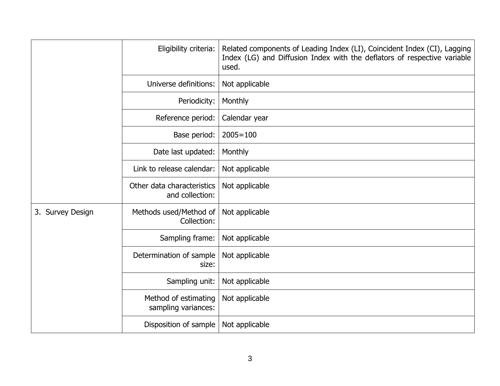|                  | Eligibility criteria:                         | Related components of Leading Index (LI), Coincident Index (CI), Lagging<br>Index (LG) and Diffusion Index with the deflators of respective variable<br>used. |
|------------------|-----------------------------------------------|---------------------------------------------------------------------------------------------------------------------------------------------------------------|
|                  | Universe definitions:                         | Not applicable                                                                                                                                                |
|                  | Periodicity:                                  | Monthly                                                                                                                                                       |
|                  | Reference period:                             | Calendar year                                                                                                                                                 |
|                  | Base period:                                  | $2005 = 100$                                                                                                                                                  |
|                  | Date last updated:                            | Monthly                                                                                                                                                       |
|                  | Link to release calendar:                     | Not applicable                                                                                                                                                |
|                  | Other data characteristics<br>and collection: | Not applicable                                                                                                                                                |
| 3. Survey Design | Methods used/Method of<br>Collection:         | Not applicable                                                                                                                                                |
|                  | Sampling frame:                               | Not applicable                                                                                                                                                |
|                  | Determination of sample<br>size:              | Not applicable                                                                                                                                                |
|                  | Sampling unit:                                | Not applicable                                                                                                                                                |
|                  | Method of estimating<br>sampling variances:   | Not applicable                                                                                                                                                |
|                  | Disposition of sample                         | Not applicable                                                                                                                                                |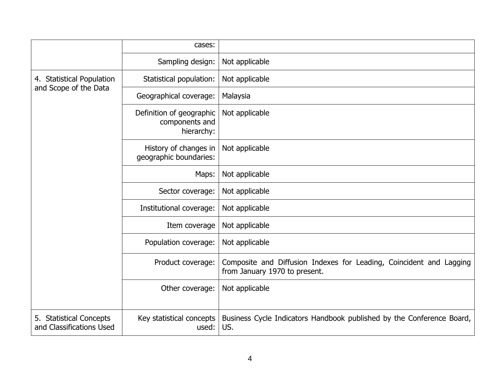|                                                     | cases:                                                   |                                                                                                      |
|-----------------------------------------------------|----------------------------------------------------------|------------------------------------------------------------------------------------------------------|
|                                                     | Sampling design:                                         | Not applicable                                                                                       |
| 4. Statistical Population<br>and Scope of the Data  | Statistical population:                                  | Not applicable                                                                                       |
|                                                     | Geographical coverage:                                   | Malaysia                                                                                             |
|                                                     | Definition of geographic<br>components and<br>hierarchy: | Not applicable                                                                                       |
|                                                     | History of changes in<br>geographic boundaries:          | Not applicable                                                                                       |
|                                                     | Maps:                                                    | Not applicable                                                                                       |
|                                                     | Sector coverage:                                         | Not applicable                                                                                       |
|                                                     | Institutional coverage:                                  | Not applicable                                                                                       |
|                                                     | Item coverage                                            | Not applicable                                                                                       |
|                                                     | Population coverage:                                     | Not applicable                                                                                       |
|                                                     | Product coverage:                                        | Composite and Diffusion Indexes for Leading, Coincident and Lagging<br>from January 1970 to present. |
|                                                     | Other coverage:                                          | Not applicable                                                                                       |
| 5. Statistical Concepts<br>and Classifications Used | Key statistical concepts<br>used:                        | Business Cycle Indicators Handbook published by the Conference Board,<br>US.                         |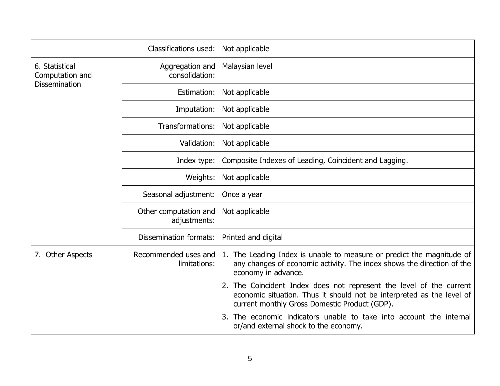|                                                           | Classifications used:                 | Not applicable                                                                                                                                                                                   |
|-----------------------------------------------------------|---------------------------------------|--------------------------------------------------------------------------------------------------------------------------------------------------------------------------------------------------|
| 6. Statistical<br>Computation and<br><b>Dissemination</b> | Aggregation and<br>consolidation:     | Malaysian level                                                                                                                                                                                  |
|                                                           | Estimation:                           | Not applicable                                                                                                                                                                                   |
|                                                           | Imputation:                           | Not applicable                                                                                                                                                                                   |
|                                                           | Transformations:                      | Not applicable                                                                                                                                                                                   |
|                                                           | Validation:                           | Not applicable                                                                                                                                                                                   |
|                                                           | Index type:                           | Composite Indexes of Leading, Coincident and Lagging.                                                                                                                                            |
|                                                           | Weights:                              | Not applicable                                                                                                                                                                                   |
|                                                           | Seasonal adjustment:                  | Once a year                                                                                                                                                                                      |
|                                                           | Other computation and<br>adjustments: | Not applicable                                                                                                                                                                                   |
|                                                           | <b>Dissemination formats:</b>         | Printed and digital                                                                                                                                                                              |
| 7. Other Aspects                                          | Recommended uses and<br>limitations:  | 1. The Leading Index is unable to measure or predict the magnitude of<br>any changes of economic activity. The index shows the direction of the<br>economy in advance.                           |
|                                                           |                                       | The Coincident Index does not represent the level of the current<br>2.<br>economic situation. Thus it should not be interpreted as the level of<br>current monthly Gross Domestic Product (GDP). |
|                                                           |                                       | The economic indicators unable to take into account the internal<br>3.<br>or/and external shock to the economy.                                                                                  |